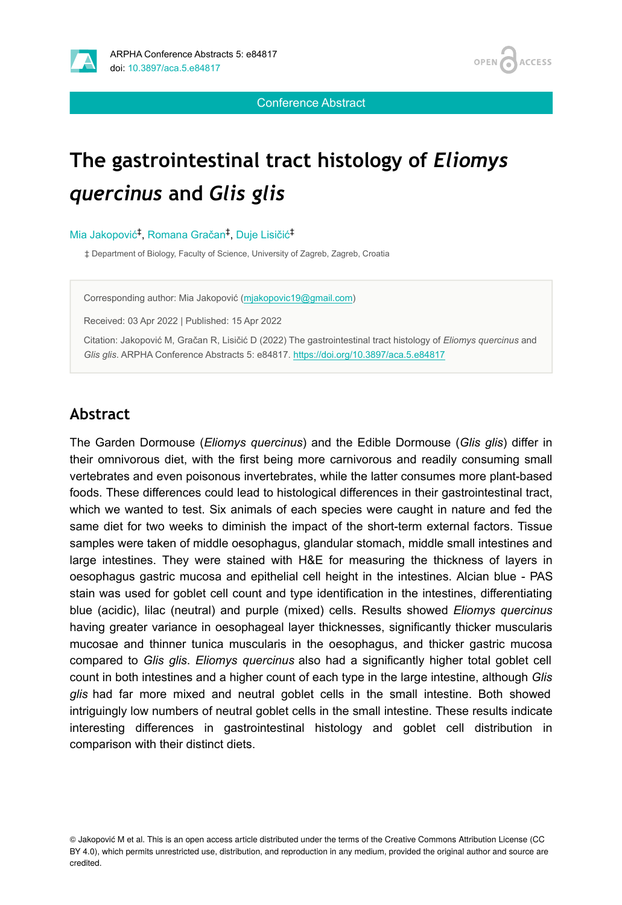



Conference Abstract

# **The gastrointestinal tract histology of** *Eliomys quercinus* **and** *Glis glis*

#### Mia Jakopović<sup>‡</sup>, Romana Gračan<sup>‡</sup>, Duje Lisičić<sup>‡</sup>

‡ Department of Biology, Faculty of Science, University of Zagreb, Zagreb, Croatia

Corresponding author: Mia Jakopović [\(mjakopovic19@gmail.com\)](mailto:mjakopovic19@gmail.com)

Received: 03 Apr 2022 | Published: 15 Apr 2022

Citation: Jakopović M, Gračan R, Lisičić D (2022) The gastrointestinal tract histology of *Eliomys quercinus* and *Glis glis*. ARPHA Conference Abstracts 5: e84817. <https://doi.org/10.3897/aca.5.e84817>

#### **Abstract**

The Garden Dormouse (*Eliomys quercinus*) and the Edible Dormouse (*Glis glis*) differ in their omnivorous diet, with the first being more carnivorous and readily consuming small vertebrates and even poisonous invertebrates, while the latter consumes more plant-based foods. These differences could lead to histological differences in their gastrointestinal tract, which we wanted to test. Six animals of each species were caught in nature and fed the same diet for two weeks to diminish the impact of the short-term external factors. Tissue samples were taken of middle oesophagus, glandular stomach, middle small intestines and large intestines. They were stained with H&E for measuring the thickness of layers in oesophagus gastric mucosa and epithelial cell height in the intestines. Alcian blue - PAS stain was used for goblet cell count and type identification in the intestines, differentiating blue (acidic), lilac (neutral) and purple (mixed) cells. Results showed *Eliomys quercinus* having greater variance in oesophageal layer thicknesses, significantly thicker muscularis mucosae and thinner tunica muscularis in the oesophagus, and thicker gastric mucosa compared to *Glis glis*. *Eliomys quercinus* also had a significantly higher total goblet cell count in both intestines and a higher count of each type in the large intestine, although *Glis glis* had far more mixed and neutral goblet cells in the small intestine. Both showed intriguingly low numbers of neutral goblet cells in the small intestine. These results indicate interesting differences in gastrointestinal histology and goblet cell distribution in comparison with their distinct diets.

<sup>©</sup> Jakopović M et al. This is an open access article distributed under the terms of the Creative Commons Attribution License (CC BY 4.0), which permits unrestricted use, distribution, and reproduction in any medium, provided the original author and source are credited.